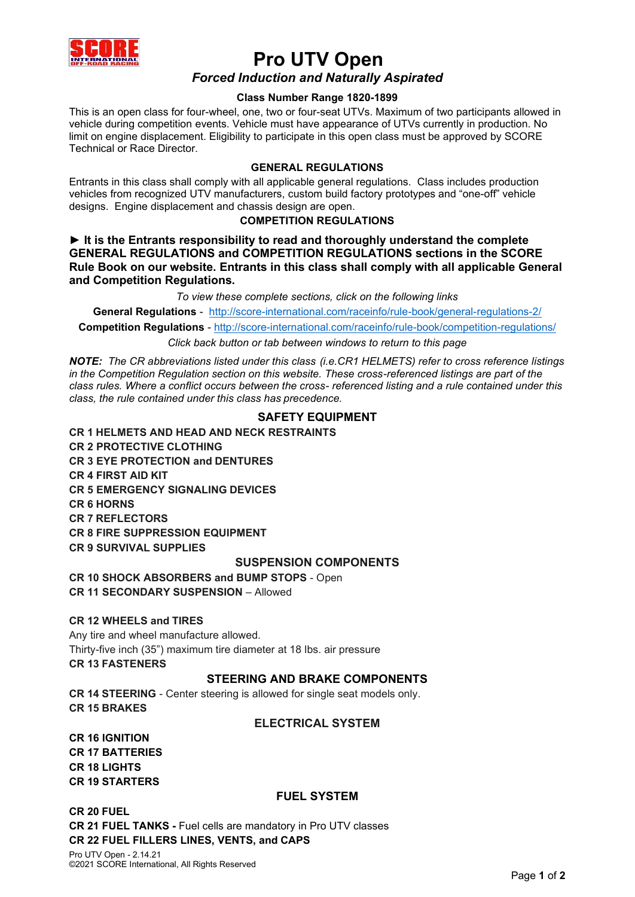

# **Pro UTV Open** *Forced Induction and Naturally Aspirated*

## **Class Number Range 1820-1899**

This is an open class for four-wheel, one, two or four-seat UTVs. Maximum of two participants allowed in vehicle during competition events. Vehicle must have appearance of UTVs currently in production. No limit on engine displacement. Eligibility to participate in this open class must be approved by SCORE Technical or Race Director.

#### **GENERAL REGULATIONS**

Entrants in this class shall comply with all applicable general regulations. Class includes production vehicles from recognized UTV manufacturers, custom build factory prototypes and "one-off" vehicle designs. Engine displacement and chassis design are open.

#### **COMPETITION REGULATIONS**

**► It is the Entrants responsibility to read and thoroughly understand the complete GENERAL REGULATIONS and COMPETITION REGULATIONS sections in the SCORE Rule Book on our website. Entrants in this class shall comply with all applicable General and Competition Regulations.**

*To view these complete sections, click on the following links*

**General Regulations** - <http://score-international.com/raceinfo/rule-book/general-regulations-2/>

**Competition Regulations** - <http://score-international.com/raceinfo/rule-book/competition-regulations/>

*Click back button or tab between windows to return to this page*

*NOTE: The CR abbreviations listed under this class (i.e.CR1 HELMETS) refer to cross reference listings in the Competition Regulation section on this website. These cross-referenced listings are part of the class rules. Where a conflict occurs between the cross- referenced listing and a rule contained under this class, the rule contained under this class has precedence.*

## **SAFETY EQUIPMENT**

**CR 1 HELMETS AND HEAD AND NECK RESTRAINTS CR 2 PROTECTIVE CLOTHING CR 3 EYE PROTECTION and DENTURES CR 4 FIRST AID KIT CR 5 EMERGENCY SIGNALING DEVICES CR 6 HORNS CR 7 REFLECTORS CR 8 FIRE SUPPRESSION EQUIPMENT CR 9 SURVIVAL SUPPLIES**

## **SUSPENSION COMPONENTS**

**CR 10 SHOCK ABSORBERS and BUMP STOPS** - Open **CR 11 SECONDARY SUSPENSION** – Allowed

#### **CR 12 WHEELS and TIRES**

Any tire and wheel manufacture allowed. Thirty-five inch (35") maximum tire diameter at 18 lbs. air pressure **CR 13 FASTENERS**

## **STEERING AND BRAKE COMPONENTS**

**CR 14 STEERING** - Center steering is allowed for single seat models only. **CR 15 BRAKES**

## **ELECTRICAL SYSTEM**

**CR 16 IGNITION CR 17 BATTERIES CR 18 LIGHTS CR 19 STARTERS**

#### **FUEL SYSTEM**

**CR 20 FUEL CR 21 FUEL TANKS -** Fuel cells are mandatory in Pro UTV classes **CR 22 FUEL FILLERS LINES, VENTS, and CAPS**